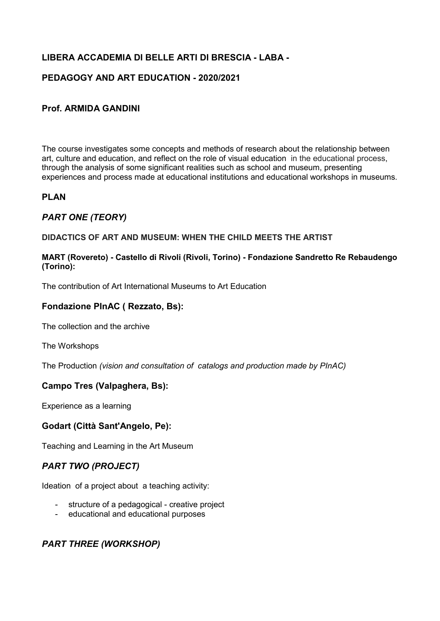# **LIBERA ACCADEMIA DI BELLE ARTI DI BRESCIA - LABA -**

# **PEDAGOGY AND ART EDUCATION - 2020/2021**

#### **Prof. ARMIDA GANDINI**

The course investigates some concepts and methods of research about the relationship between art, culture and education, and reflect on the role of visual education in the educational process, through the analysis of some significant realities such as school and museum, presenting experiences and process made at educational institutions and educational workshops in museums.

#### **PLAN**

## *PART ONE (TEORY)*

#### **DIDACTICS OF ART AND MUSEUM: WHEN THE CHILD MEETS THE ARTIST**

#### **MART (Rovereto) - Castello di Rivoli (Rivoli, Torino) - Fondazione Sandretto Re Rebaudengo (Torino):**

[The contribution of Art International Museums to Art Education](https://www.researchgate.net/publication/295920390_The_Contribution_of_Art_Museums_to_Art_Education)

### **Fondazione PInAC ( Rezzato, Bs):**

The collection and the archive

The Workshops

The Production *(vision and consultation of catalogs and production made by PInAC)*

#### **Campo Tres (Valpaghera, Bs):**

Experience as a learning

#### **Godart (Città Sant'Angelo, Pe):**

Teaching and Learning in the Art Museum

#### *PART TWO (PROJECT)*

Ideation of a project about a teaching activity:

- structure of a pedagogical creative project
- educational and educational purposes

# *PART THREE (WORKSHOP)*